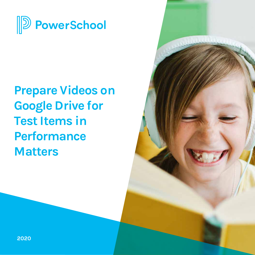

# **Prepare Videos on Google Drive for Test Items in Performance Matters**

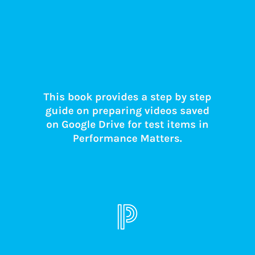**This book provides a step by step guide on preparing videos saved on Google Drive for test items in Performance Matters.**

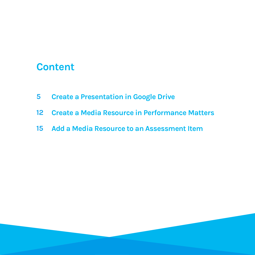### **Content**

- **5 Create a Presentation in Google Drive**
- **12 Create a Media Resource in Performance Matters**
- **15 Add a Media Resource to an Assessment Item**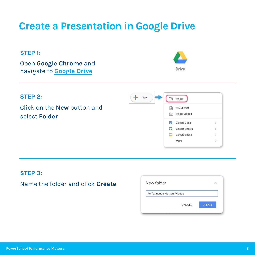#### **STEP 1:**

Open **Google Chrome** and navigate to **[Google Drive](https://www.google.com/drive/)**





#### **STEP 3:**

### Name the folder and click **Create**

| New folder                 |        |               |
|----------------------------|--------|---------------|
| Performance Matters Videos |        |               |
|                            | CANCEL | <b>CREATE</b> |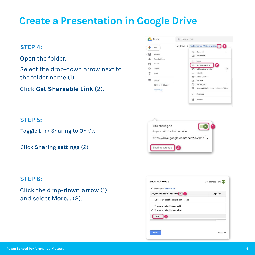#### **STEP 4:**

**Open** the folder.

Select the drop-down arrow next to the folder name (1).

Click **Get Shareable Link** (2).

| New                             |  |                          | My Drive > Performance Matters Videos    |        |
|---------------------------------|--|--------------------------|------------------------------------------|--------|
|                                 |  |                          | Open with                                | $\geq$ |
| ≙<br>My Drive                   |  | $\overline{\phantom{a}}$ | New folder                               |        |
| $\frac{Q}{Q}$<br>Shared with me |  |                          |                                          |        |
| 0<br>Recent                     |  | $\mathbb{R}^+$<br>GD     | Share<br>2<br>Get shareable link         |        |
| ☆<br>Starred                    |  | Æ.                       | Add shortcut to Drive                    | の      |
| 间<br>Trash                      |  | নি                       | Move to                                  |        |
|                                 |  | 52                       | Add to Starred                           |        |
| ≡<br>Storage                    |  | 0.                       | Rename                                   |        |
| 9.2 GB of 15 GB used            |  | O                        | Change color                             | ý)     |
| <b>Buy storage</b>              |  | Q                        | Search within Performance Matters Videos |        |
|                                 |  |                          | Download                                 |        |

#### **STEP 5:**

Toggle Link Sharing to **On** (1).

Click **Sharing settings** (2).

| Link sharing on                         |  |
|-----------------------------------------|--|
| Anyone with the link can view           |  |
| https://drive.google.com/open?id=1khZH\ |  |
|                                         |  |
| Sharing settings<br>2                   |  |

#### **STEP 6:**

Click the **drop-down arrow** (1) and select **More...** (2).

|      | OFF - only specific people can access |  |
|------|---------------------------------------|--|
|      | Anyone with the link can edit         |  |
|      | Anyone with the link can view         |  |
| More |                                       |  |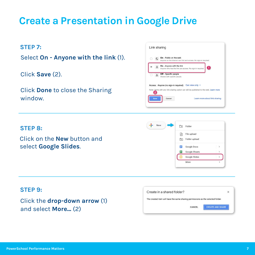#### **STEP 7:**

Select **On - Anyone with the link** (1).

Click **Save** (2).

Click **Done** to close the Sharing window.

#### Link sharing  $\bigcirc$   $\bigcirc$  On - Public on the web Anyone on the Internet can find and access. No sign-in required. On - Anyone with the link O Anyone who has the link can access. No sign-in regul Off - Specific people  $\Phi_0$ Shared with specific people Access: Anyone (no sign-in required) Can view only v Note: Items with any link sharing option can still be published to the web. Learn more 2 Cancel Learn more about link sharing Save

#### **STEP 8:**

Click on the **New** button and select **Google Slides**.

#### New  $\Box$  Folder File upload 量 Folder upload Google Docs  $\rightarrow$ **T** Google Sheets  $\rightarrow$ Google Slides - $\,$ More

#### **STEP 9:**

Click the **drop-down arrow** (1) and select **More...** (2)

| Create in a shared folder?                                                      |  |
|---------------------------------------------------------------------------------|--|
| The created item will have the same sharing permissions as the selected folder. |  |
|                                                                                 |  |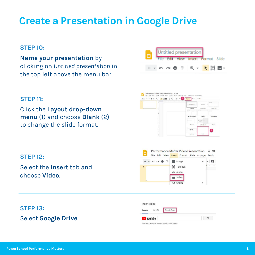#### **STEP 10:**

**Name your presentation** by

clicking on *Untitled presentation* in the top left above the menu bar.



#### **STEP 11:**

Click the **Layout drop-down menu** (1) and choose **Blank** (2) to change the slide format.



#### **STEP 12:**

Select the **Insert** tab and choose **Video**.



### **STEP 13:**

Select **Google Drive**.

| Insert video     |        |              |  |
|------------------|--------|--------------|--|
| Search           | By URL | Google Drive |  |
| <b>D</b> YouTube |        |              |  |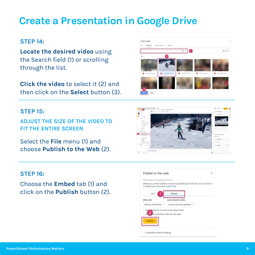#### **STEP 14:**

**Locate the desired video** using the Search field (1) or scrolling through the list.

**Click the video** to select it (2) and then click on the **Select** button (3).

#### **STEP 15:**

**ADJUST THE SIZE OF THE VIDEO TO FIT THE ENTIRE SCREEN**

Select the **File** menu (1) and choose **Publish to the Web** (2).

#### **STEP 16:**

Choose the **Embed** tab (1) and click on the **Publish** button (2).



Published content & settings



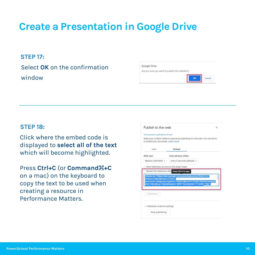#### **STEP 17:**

Select **OK** on the confirmation window

| Google Drive |                                                  |  |  |
|--------------|--------------------------------------------------|--|--|
|              | Are you sure you want to publish this selection? |  |  |
|              |                                                  |  |  |
|              |                                                  |  |  |

#### **STEP 18:**

Click where the embed code is displa\ed to **select all of the text** which will become highlighted.

**Press Ctrl+C (or Command H+C)** on a mac) on the keyboard to copy the text to be used when creating a resource in Performance Matters.

|                                             | Publish to the web                                                                                                                                                                                                                                 | $\times$ |
|---------------------------------------------|----------------------------------------------------------------------------------------------------------------------------------------------------------------------------------------------------------------------------------------------------|----------|
| This document is published to the web.      |                                                                                                                                                                                                                                                    |          |
| or embed your document. Learn more          | Make your content visible to anyone by publishing it to the web. You can link to                                                                                                                                                                   |          |
| Link                                        | Embed                                                                                                                                                                                                                                              |          |
| Slide size:                                 | Auto-advance slides:                                                                                                                                                                                                                               |          |
| Medium (960x569) -                          | every 3 seconds (default) =                                                                                                                                                                                                                        |          |
| Start slideshow as soon as the player loads |                                                                                                                                                                                                                                                    |          |
|                                             |                                                                                                                                                                                                                                                    |          |
|                                             | Restart the slideshow after Press Ctrl+C to copy.                                                                                                                                                                                                  |          |
| RCIMuA5-Mfly5gKKqtEcZxZ96J-                 | <iframe <="" frameborder="0" src="https://docs.google.com/presentation/d/e/2PACX-1vT-&lt;br&gt;wUHZsOST1MsgZxmcrVpWUHTTQSutsTgRcXHf-ETznnFLSOOOw/embed?&lt;br&gt;start=false&amp;loop=false&amp;delayms=3000" td="" width="960"><td></td></iframe> |          |
| Published                                   |                                                                                                                                                                                                                                                    |          |
| $\sim$ Published content & settings         |                                                                                                                                                                                                                                                    |          |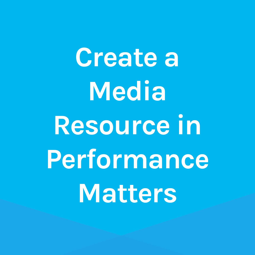**Create a Media Resource in Performance Matters**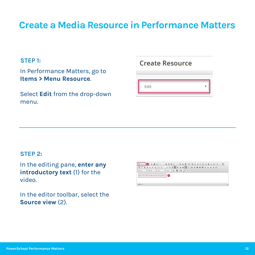### **Create a Media Resource in Performance Matters**

#### **STEP 1:**

In Performance Matters, go to **Items > Menu Resource.** 

Select **Edit** from the drop-down menu.

#### **Create Resource**

Edit

#### **STEP 2:**

In the editing pane, enter any **introductory text** (1) for the video.

In the editor toolbar, select the **Source view** (2).

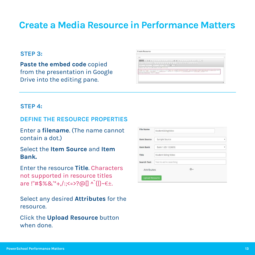### **Create a Media Resource in Performance Matters**

#### **STEP 3:**

**Paste the embed code** copied from the presentation in Google Drive into the editing pane.

|               | <b>BMP ROBOR XCROSS (XCROSS)</b> 19 8 8 9 9 9 9 9 9 9 9 9 9 8 9 9 8                                                                                                                                                                                                                                                   |
|---------------|-----------------------------------------------------------------------------------------------------------------------------------------------------------------------------------------------------------------------------------------------------------------------------------------------------------------------|
|               | $\frac{1}{2}$ ( $\frac{1}{2}$ $\frac{1}{2}$ $\frac{1}{2}$ $\frac{1}{2}$ $\frac{1}{2}$ $\frac{1}{2}$ $\frac{1}{2}$ $\frac{1}{2}$ $\frac{1}{2}$ $\frac{1}{2}$ $\frac{1}{2}$ $\frac{1}{2}$ $\frac{1}{2}$ $\frac{1}{2}$ $\frac{1}{2}$ $\frac{1}{2}$ $\frac{1}{2}$ $\frac{1}{2}$ $\frac{1}{2}$ $\frac{1}{2}$ $\frac{1}{2}$ |
| <b>TELEST</b> | to in them a lot of their                                                                                                                                                                                                                                                                                             |
|               | COMPOSITION CONTRACTOR INTO THE INTERNATIONAL INTERNATIONAL                                                                                                                                                                                                                                                           |
|               | Chair no "superties perioder executives and the Sax in matel til desperated in constituence of the production of the status of chairman<br>especialização estásticamento componento armentado appendiro a caratimente do membrado camarelemento<br>shartalloutaillouges, "that'teelfromes                             |

#### **STEP 4:**

### **DEFINE THE RESOURCE PROPERTIES**

**Enter a filename.** (The name cannot contain a dot.)

#### Select the **Item Source** and **Item Bank.**

**Enter the resource Title. Characters** not supported in resource titles are !"#\$%&'\*+,/:;<=>?@[] ^`{|}~€±.

Select an\ desired **Attributes** for the resource.

Click the **Upload Resource** button when done.

| <b>File Name</b>       | StudentSkiingVideo       |   |
|------------------------|--------------------------|---|
| <b>Item Source</b>     | Sample Source            | ٧ |
| <b>Item Bank</b>       | Bank 1 (ID: 122683)      | ۷ |
| Title                  | Student Skiing Video     |   |
| <b>Search Text</b>     | Text to aid in searching |   |
| Attributes             | ₩.                       |   |
| <b>Upload Resource</b> |                          |   |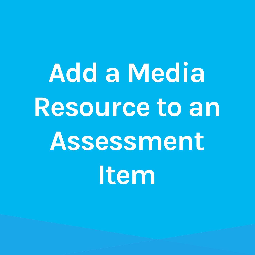**Add a Media Resource to an Assessment Item**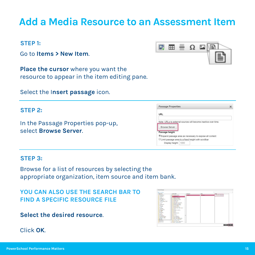### Go to Items > New Item.

**Place the cursor** where you want the resource to appear in the item editing pane.

Select the Insert passage icon.

#### **STEP 2:**

**STEP 1:**

In the Passage Properties pop-up, select **Browse Server**.

#### **STEP 3:**

Browse for a list of resources by selecting the appropriate organization, item source and item bank.

**YOU CAN ALSO USE THE SEARCH BAR TO FIND A SPECIFIC RESOURCE FILE**

**Select the desired resource**.

Click **OK**.

## **Add a Media Resource to an Assessment Item**



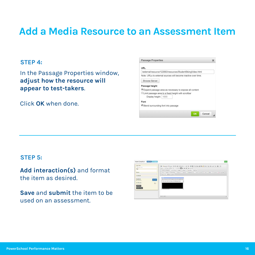### **Add a Media Resource to an Assessment Item**

#### **STEP 4:**

In the Passage Properties window, **adjust how the resource will appear to test-takers**.

Click **OK** when done.

|                                                               | <b>Passage Properties</b> |  |  |
|---------------------------------------------------------------|---------------------------|--|--|
| URL                                                           |                           |  |  |
| /external/resource/122683/resources/StudentSkiingVideo.html   |                           |  |  |
| Note: URLs to external sources will become inactive over time |                           |  |  |
| <b>Browse Server</b>                                          |                           |  |  |
| Passage height                                                |                           |  |  |
| Expand passage area as necessary to expose all content        |                           |  |  |
| ULimit passage area to a fixed height with scrollbar          |                           |  |  |
| Display height:   1000                                        |                           |  |  |
| Font                                                          |                           |  |  |
|                                                               |                           |  |  |

#### **STEP 5:**

**Add interaction(s)** and format the item as desired.

**Save** and **submit** the item to be used on an assessment.